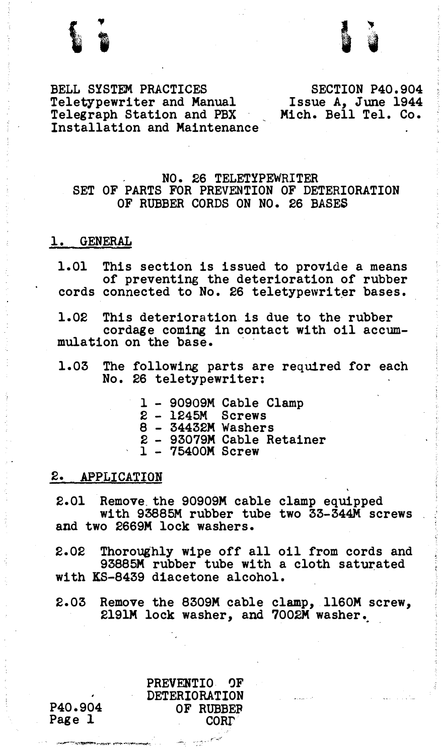

BELL SYSTEM PRACTICES Teletypewriter and Manual Telegraph Station and PBX Installation and Maintenance

SECTION P40.904 Issue A, June 1944 Mich. Bell Tel. Co.

## NO. 26 TELETYPEWRITER SET OF PARTS FOR PREVENTION OF DETERIORATION OF RUBBER CORDS ON NO. 26 BASES

## l. GENERAL

1.01 This section is issued to provide a means of preventing the deterioration of rubber cords connected to No. 26 teletypewriter bases.

1.02 This deterioration is due to the rubber cordage coming in contact with oil accummulation on the base.

- 1.03 The following parts are required for each No. 26 teletypewriter:
	- 1 90909M Cable Clamp
	- 2 1245M Screws
	- 8 34432M Washers
	- 2 93079M Cable Retainer 1 75400M Screw
	-

## 2. APPLICATION

2.01 Remove. the 90909M cable clamp equipped with 93885M rubber tube two 33-344M screws and two 2669M lock washers.

2.02 Thoroughly wipe off all oil from cords and 93885M rubber tube with a cloth saturated with KS-8439 diacetone alcohol.

2.03 Remove the 8309M cable clamp, ll60M screw, 2191M lock washer, and 7002M washer •.

> PREVENTIO 'JF DETERIORATION OF RUBBEF CORI'

P40.904 Page 1